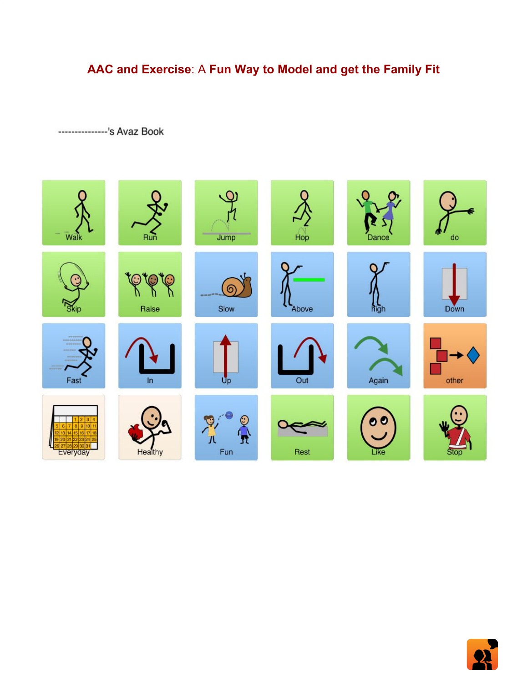# **AAC and Exercise**: A **Fun Way to Model and get the Family Fit**

---------------'s Avaz Book



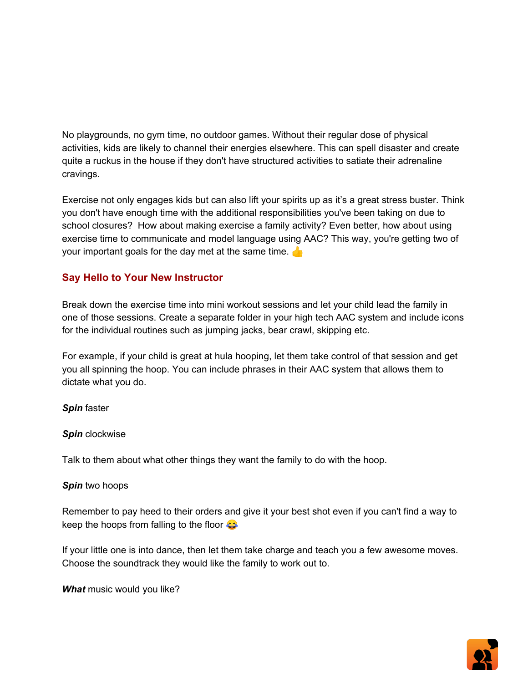No playgrounds, no gym time, no outdoor games. Without their regular dose of physical activities, kids are likely to channel their energies elsewhere. This can spell disaster and create quite a ruckus in the house if they don't have structured activities to satiate their adrenaline cravings.

Exercise not only engages kids but can also lift your spirits up as it's a great stress buster. Think you don't have enough time with the additional responsibilities you've been taking on due to school closures? How about making exercise a family activity? Even better, how about using exercise time to communicate and model language using AAC? This way, you're getting two of your important goals for the day met at the same time.

## **Say Hello to Your New Instructor**

Break down the exercise time into mini workout sessions and let your child lead the family in one of those sessions. Create a separate folder in your high tech AAC system and include icons for the individual routines such as jumping jacks, bear crawl, skipping etc.

For example, if your child is great at hula hooping, let them take control of that session and get you all spinning the hoop. You can include phrases in their AAC system that allows them to dictate what you do.

*Spin* faster

#### *Spin* clockwise

Talk to them about what other things they want the family to do with the hoop.

#### *Spin* two hoops

Remember to pay heed to their orders and give it your best shot even if you can't find a way to keep the hoops from falling to the floor  $\bigodot$ 

If your little one is into dance, then let them take charge and teach you a few awesome moves. Choose the soundtrack they would like the family to work out to.

*What* music would you like?

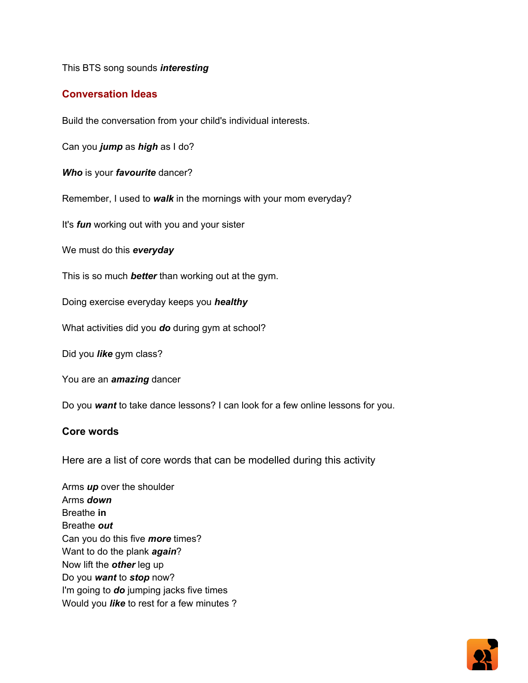This BTS song sounds *interesting*

### **Conversation Ideas**

Build the conversation from your child's individual interests.

Can you *jump* as *high* as I do?

*Who* is your *favourite* dancer?

Remember, I used to *walk* in the mornings with your mom everyday?

It's *fun* working out with you and your sister

We must do this *everyday*

This is so much *better* than working out at the gym.

Doing exercise everyday keeps you *healthy*

What activities did you *do* during gym at school?

Did you *like* gym class?

You are an *amazing* dancer

Do you *want* to take dance lessons? I can look for a few online lessons for you.

#### **Core words**

Here are a list of core words that can be modelled during this activity

Arms *up* over the shoulder Arms *down* Breathe **in** Breathe *out* Can you do this five *more* times? Want to do the plank *again*? Now lift the *other* leg up Do you *want* to *stop* now? I'm going to *do* jumping jacks five times Would you *like* to rest for a few minutes ?